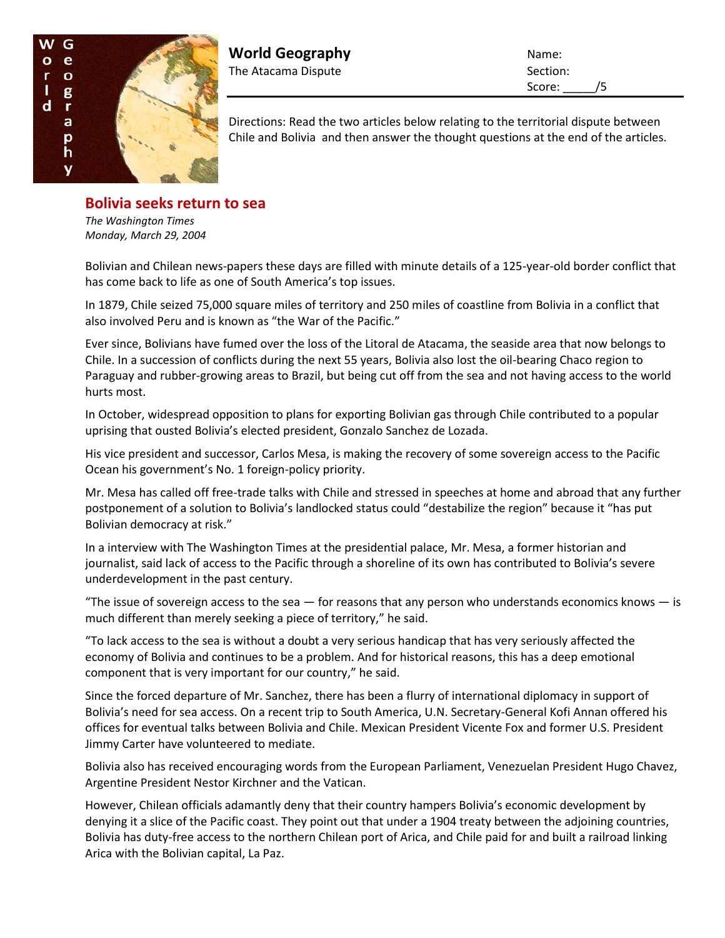

**World Geography** Name: The Atacama Dispute Section:

Score: /5

Directions: Read the two articles below relating to the territorial dispute between Chile and Bolivia and then answer the thought questions at the end of the articles.

## **Bolivia seeks return to sea**

*The Washington Times Monday, March 29, 2004*

Bolivian and Chilean news-papers these days are filled with minute details of a 125-year-old border conflict that has come back to life as one of South America's top issues.

In 1879, Chile seized 75,000 square miles of territory and 250 miles of coastline from Bolivia in a conflict that also involved Peru and is known as "the War of the Pacific."

Ever since, Bolivians have fumed over the loss of the Litoral de Atacama, the seaside area that now belongs to Chile. In a succession of conflicts during the next 55 years, Bolivia also lost the oil-bearing Chaco region to Paraguay and rubber-growing areas to Brazil, but being cut off from the sea and not having access to the world hurts most.

In October, widespread opposition to plans for exporting Bolivian gas through Chile contributed to a popular uprising that ousted Bolivia's elected president, Gonzalo Sanchez de Lozada.

His vice president and successor, Carlos Mesa, is making the recovery of some sovereign access to the Pacific Ocean his government's No. 1 foreign-policy priority.

Mr. Mesa has called off free-trade talks with Chile and stressed in speeches at home and abroad that any further postponement of a solution to Bolivia's landlocked status could "destabilize the region" because it "has put Bolivian democracy at risk."

In a interview with The Washington Times at the presidential palace, Mr. Mesa, a former historian and journalist, said lack of access to the Pacific through a shoreline of its own has contributed to Bolivia's severe underdevelopment in the past century.

"The issue of sovereign access to the sea  $-$  for reasons that any person who understands economics knows  $-$  is much different than merely seeking a piece of territory," he said.

"To lack access to the sea is without a doubt a very serious handicap that has very seriously affected the economy of Bolivia and continues to be a problem. And for historical reasons, this has a deep emotional component that is very important for our country," he said.

Since the forced departure of Mr. Sanchez, there has been a flurry of international diplomacy in support of Bolivia's need for sea access. On a recent trip to South America, U.N. Secretary-General Kofi Annan offered his offices for eventual talks between Bolivia and Chile. Mexican President Vicente Fox and former U.S. President Jimmy Carter have volunteered to mediate.

Bolivia also has received encouraging words from the European Parliament, Venezuelan President Hugo Chavez, Argentine President Nestor Kirchner and the Vatican.

However, Chilean officials adamantly deny that their country hampers Bolivia's economic development by denying it a slice of the Pacific coast. They point out that under a 1904 treaty between the adjoining countries, Bolivia has duty-free access to the northern Chilean port of Arica, and Chile paid for and built a railroad linking Arica with the Bolivian capital, La Paz.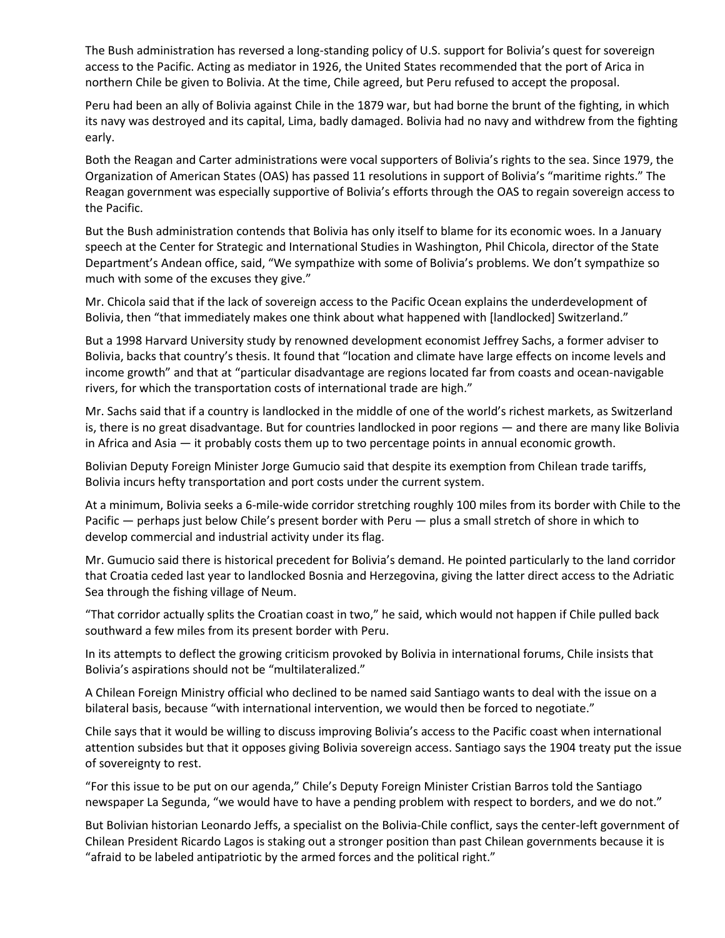The Bush administration has reversed a long-standing policy of U.S. support for Bolivia's quest for sovereign access to the Pacific. Acting as mediator in 1926, the United States recommended that the port of Arica in northern Chile be given to Bolivia. At the time, Chile agreed, but Peru refused to accept the proposal.

Peru had been an ally of Bolivia against Chile in the 1879 war, but had borne the brunt of the fighting, in which its navy was destroyed and its capital, Lima, badly damaged. Bolivia had no navy and withdrew from the fighting early.

Both the Reagan and Carter administrations were vocal supporters of Bolivia's rights to the sea. Since 1979, the Organization of American States (OAS) has passed 11 resolutions in support of Bolivia's "maritime rights." The Reagan government was especially supportive of Bolivia's efforts through the OAS to regain sovereign access to the Pacific.

But the Bush administration contends that Bolivia has only itself to blame for its economic woes. In a January speech at the Center for Strategic and International Studies in Washington, Phil Chicola, director of the State Department's Andean office, said, "We sympathize with some of Bolivia's problems. We don't sympathize so much with some of the excuses they give."

Mr. Chicola said that if the lack of sovereign access to the Pacific Ocean explains the underdevelopment of Bolivia, then "that immediately makes one think about what happened with [landlocked] Switzerland."

But a 1998 Harvard University study by renowned development economist Jeffrey Sachs, a former adviser to Bolivia, backs that country's thesis. It found that "location and climate have large effects on income levels and income growth" and that at "particular disadvantage are regions located far from coasts and ocean-navigable rivers, for which the transportation costs of international trade are high."

Mr. Sachs said that if a country is landlocked in the middle of one of the world's richest markets, as Switzerland is, there is no great disadvantage. But for countries landlocked in poor regions — and there are many like Bolivia in Africa and Asia — it probably costs them up to two percentage points in annual economic growth.

Bolivian Deputy Foreign Minister Jorge Gumucio said that despite its exemption from Chilean trade tariffs, Bolivia incurs hefty transportation and port costs under the current system.

At a minimum, Bolivia seeks a 6-mile-wide corridor stretching roughly 100 miles from its border with Chile to the Pacific — perhaps just below Chile's present border with Peru — plus a small stretch of shore in which to develop commercial and industrial activity under its flag.

Mr. Gumucio said there is historical precedent for Bolivia's demand. He pointed particularly to the land corridor that Croatia ceded last year to landlocked Bosnia and Herzegovina, giving the latter direct access to the Adriatic Sea through the fishing village of Neum.

"That corridor actually splits the Croatian coast in two," he said, which would not happen if Chile pulled back southward a few miles from its present border with Peru.

In its attempts to deflect the growing criticism provoked by Bolivia in international forums, Chile insists that Bolivia's aspirations should not be "multilateralized."

A Chilean Foreign Ministry official who declined to be named said Santiago wants to deal with the issue on a bilateral basis, because "with international intervention, we would then be forced to negotiate."

Chile says that it would be willing to discuss improving Bolivia's access to the Pacific coast when international attention subsides but that it opposes giving Bolivia sovereign access. Santiago says the 1904 treaty put the issue of sovereignty to rest.

"For this issue to be put on our agenda," Chile's Deputy Foreign Minister Cristian Barros told the Santiago newspaper La Segunda, "we would have to have a pending problem with respect to borders, and we do not."

But Bolivian historian Leonardo Jeffs, a specialist on the Bolivia-Chile conflict, says the center-left government of Chilean President Ricardo Lagos is staking out a stronger position than past Chilean governments because it is "afraid to be labeled antipatriotic by the armed forces and the political right."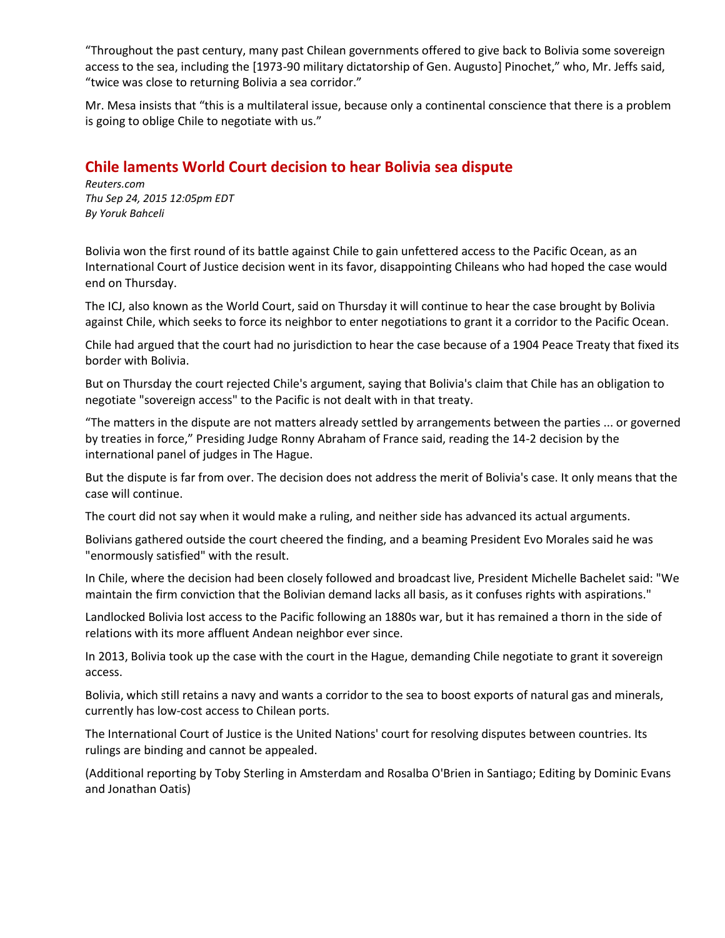"Throughout the past century, many past Chilean governments offered to give back to Bolivia some sovereign access to the sea, including the [1973-90 military dictatorship of Gen. Augusto] Pinochet," who, Mr. Jeffs said, "twice was close to returning Bolivia a sea corridor."

Mr. Mesa insists that "this is a multilateral issue, because only a continental conscience that there is a problem is going to oblige Chile to negotiate with us."

## **Chile laments World Court decision to hear Bolivia sea dispute**

*Reuters.com Thu Sep 24, 2015 12:05pm EDT By Yoruk Bahceli*

Bolivia won the first round of its battle against Chile to gain unfettered access to the Pacific Ocean, as an International Court of Justice decision went in its favor, disappointing Chileans who had hoped the case would end on Thursday.

The ICJ, also known as the World Court, said on Thursday it will continue to hear the case brought by Bolivia against Chile, which seeks to force its neighbor to enter negotiations to grant it a corridor to the Pacific Ocean.

Chile had argued that the court had no jurisdiction to hear the case because of a 1904 Peace Treaty that fixed its border with Bolivia.

But on Thursday the court rejected Chile's argument, saying that Bolivia's claim that Chile has an obligation to negotiate "sovereign access" to the Pacific is not dealt with in that treaty.

"The matters in the dispute are not matters already settled by arrangements between the parties ... or governed by treaties in force," Presiding Judge Ronny Abraham of France said, reading the 14-2 decision by the international panel of judges in The Hague.

But the dispute is far from over. The decision does not address the merit of Bolivia's case. It only means that the case will continue.

The court did not say when it would make a ruling, and neither side has advanced its actual arguments.

Bolivians gathered outside the court cheered the finding, and a beaming President Evo Morales said he was "enormously satisfied" with the result.

In Chile, where the decision had been closely followed and broadcast live, President Michelle Bachelet said: "We maintain the firm conviction that the Bolivian demand lacks all basis, as it confuses rights with aspirations."

Landlocked Bolivia lost access to the Pacific following an 1880s war, but it has remained a thorn in the side of relations with its more affluent Andean neighbor ever since.

In 2013, Bolivia took up the case with the court in the Hague, demanding Chile negotiate to grant it sovereign access.

Bolivia, which still retains a navy and wants a corridor to the sea to boost exports of natural gas and minerals, currently has low-cost access to Chilean ports.

The International Court of Justice is the United Nations' court for resolving disputes between countries. Its rulings are binding and cannot be appealed.

(Additional reporting by Toby Sterling in Amsterdam and Rosalba O'Brien in Santiago; Editing by Dominic Evans and Jonathan Oatis)